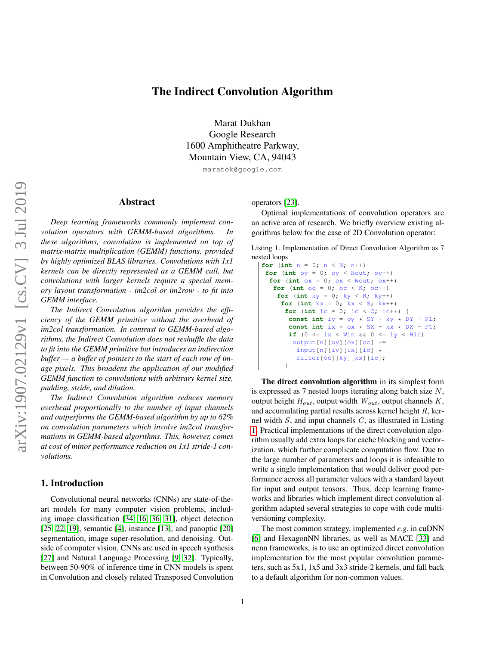# The Indirect Convolution Algorithm

Marat Dukhan Google Research 1600 Amphitheatre Parkway, Mountain View, CA, 94043

maratek@google.com

#### Abstract

*Deep learning frameworks commonly implement convolution operators with GEMM-based algorithms. In these algorithms, convolution is implemented on top of matrix-matrix multiplication (GEMM) functions, provided by highly optimized BLAS libraries. Convolutions with 1x1 kernels can be directly represented as a GEMM call, but convolutions with larger kernels require a special memory layout transformation - im2col or im2row - to fit into GEMM interface.*

*The Indirect Convolution algorithm provides the efficiency of the GEMM primitive without the overhead of im2col transformation. In contrast to GEMM-based algorithms, the Indirect Convolution does not reshuffle the data to fit into the GEMM primitive but introduces an indirection buffer — a buffer of pointers to the start of each row of image pixels. This broadens the application of our modified GEMM function to convolutions with arbitrary kernel size, padding, stride, and dilation.*

*The Indirect Convolution algorithm reduces memory overhead proportionally to the number of input channels and outperforms the GEMM-based algorithm by up to 62% on convolution parameters which involve im2col transformations in GEMM-based algorithms. This, however, comes at cost of minor performance reduction on 1x1 stride-1 convolutions.*

## 1. Introduction

Convolutional neural networks (CNNs) are state-of-theart models for many computer vision problems, including image classification [\[34,](#page-9-0) [16,](#page-8-0) [36,](#page-9-1) [31\]](#page-9-2), object detection [\[25,](#page-9-3) [22,](#page-8-1) [19\]](#page-8-2), semantic [\[4\]](#page-8-3), instance [\[13\]](#page-8-4), and panoptic [\[20\]](#page-8-5) segmentation, image super-resolution, and denoising. Outside of computer vision, CNNs are used in speech synthesis [\[27\]](#page-9-4) and Natural Language Processing [\[9,](#page-8-6) [32\]](#page-9-5). Typically, between 50-90% of inference time in CNN models is spent in Convolution and closely related Transposed Convolution operators [\[23\]](#page-8-7).

Optimal implementations of convolution operators are an active area of research. We briefly overview existing algorithms below for the case of 2D Convolution operator:

<span id="page-0-0"></span>Listing 1. Implementation of Direct Convolution Algorithm as 7 nested loops

```
for (int n = 0; n < N; n++)
 for (int oy = 0; oy < Hout; oy++)
  for (int \alpha x = 0; \alpha x < Wout; \alpha x++)
   for (int oc = 0; oc < K; oc++)
    for (int ky = 0; ky < R; ky++)
     for (int kx = 0; kx < S; kx++)
      for (int ic = 0; ic < C; ic++)
       const int iy = oy * SY + ky * DY - PL;
       const int ix = ox * SX + kx * DX - PT;
       if (0 \leq ix \leq Win && 0 \leq iy \leq Hin)
         output[n][oy][ox][oc] +=
          input[n][iy][ix][ic] *
          filter[oc][ky][kx][ic];
       }
```
The direct convolution algorithm in its simplest form is expressed as 7 nested loops iterating along batch size N, output height  $H_{out}$ , output width  $W_{out}$ , output channels  $K$ , and accumulating partial results across kernel height R, kernel width  $S$ , and input channels  $C$ , as illustrated in Listing [1.](#page-0-0) Practical implementations of the direct convolution algorithm usually add extra loops for cache blocking and vectorization, which further complicate computation flow. Due to the large number of parameters and loops it is infeasible to write a single implementation that would deliver good performance across all parameter values with a standard layout for input and output tensors. Thus, deep learning frameworks and libraries which implement direct convolution algorithm adapted several strategies to cope with code multiversioning complexity.

The most common strategy, implemented *e.g*. in cuDNN [\[6\]](#page-8-8) and HexagonNN libraries, as well as MACE [\[33\]](#page-9-6) and ncnn frameworks, is to use an optimized direct convolution implementation for the most popular convolution parameters, such as 5x1, 1x5 and 3x3 stride-2 kernels, and fall back to a default algorithm for non-common values.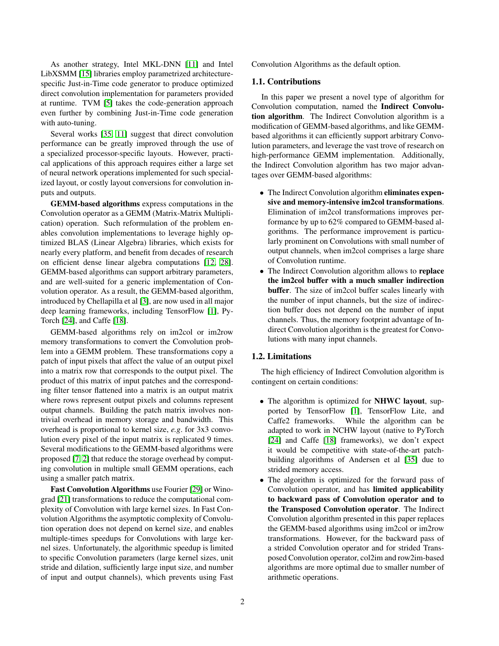As another strategy, Intel MKL-DNN [\[11\]](#page-8-9) and Intel LibXSMM [\[15\]](#page-8-10) libraries employ parametrized architecturespecific Just-in-Time code generator to produce optimized direct convolution implementation for parameters provided at runtime. TVM [\[5\]](#page-8-11) takes the code-generation approach even further by combining Just-in-Time code generation with auto-tuning.

Several works [\[35,](#page-9-7) [11\]](#page-8-9) suggest that direct convolution performance can be greatly improved through the use of a specialized processor-specific layouts. However, practical applications of this approach requires either a large set of neural network operations implemented for such specialized layout, or costly layout conversions for convolution inputs and outputs.

GEMM-based algorithms express computations in the Convolution operator as a GEMM (Matrix-Matrix Multiplication) operation. Such reformulation of the problem enables convolution implementations to leverage highly optimized BLAS (Linear Algebra) libraries, which exists for nearly every platform, and benefit from decades of research on efficient dense linear algebra computations [\[12,](#page-8-12) [28\]](#page-9-8). GEMM-based algorithms can support arbitrary parameters, and are well-suited for a generic implementation of Convolution operator. As a result, the GEMM-based algorithm, introduced by Chellapilla et al [\[3\]](#page-8-13), are now used in all major deep learning frameworks, including TensorFlow [\[1\]](#page-8-14), Py-Torch [\[24\]](#page-9-9), and Caffe [\[18\]](#page-8-15).

GEMM-based algorithms rely on im2col or im2row memory transformations to convert the Convolution problem into a GEMM problem. These transformations copy a patch of input pixels that affect the value of an output pixel into a matrix row that corresponds to the output pixel. The product of this matrix of input patches and the corresponding filter tensor flattened into a matrix is an output matrix where rows represent output pixels and columns represent output channels. Building the patch matrix involves nontrivial overhead in memory storage and bandwidth. This overhead is proportional to kernel size, *e.g*. for 3x3 convolution every pixel of the input matrix is replicated 9 times. Several modifications to the GEMM-based algorithms were proposed [\[7,](#page-8-16) [2\]](#page-8-17) that reduce the storage overhead by computing convolution in multiple small GEMM operations, each using a smaller patch matrix.

Fast Convolution Algorithms use Fourier [\[29\]](#page-9-10) or Winograd [\[21\]](#page-8-18) transformations to reduce the computational complexity of Convolution with large kernel sizes. In Fast Convolution Algorithms the asymptotic complexity of Convolution operation does not depend on kernel size, and enables multiple-times speedups for Convolutions with large kernel sizes. Unfortunately, the algorithmic speedup is limited to specific Convolution parameters (large kernel sizes, unit stride and dilation, sufficiently large input size, and number of input and output channels), which prevents using Fast Convolution Algorithms as the default option.

#### 1.1. Contributions

In this paper we present a novel type of algorithm for Convolution computation, named the Indirect Convolution algorithm. The Indirect Convolution algorithm is a modification of GEMM-based algorithms, and like GEMMbased algorithms it can efficiently support arbitrary Convolution parameters, and leverage the vast trove of research on high-performance GEMM implementation. Additionally, the Indirect Convolution algorithm has two major advantages over GEMM-based algorithms:

- The Indirect Convolution algorithm eliminates expensive and memory-intensive im2col transformations. Elimination of im2col transformations improves performance by up to 62% compared to GEMM-based algorithms. The performance improvement is particularly prominent on Convolutions with small number of output channels, when im2col comprises a large share of Convolution runtime.
- The Indirect Convolution algorithm allows to replace the im2col buffer with a much smaller indirection buffer. The size of im2col buffer scales linearly with the number of input channels, but the size of indirection buffer does not depend on the number of input channels. Thus, the memory footprint advantage of Indirect Convolution algorithm is the greatest for Convolutions with many input channels.

#### 1.2. Limitations

The high efficiency of Indirect Convolution algorithm is contingent on certain conditions:

- The algorithm is optimized for NHWC layout, supported by TensorFlow [\[1\]](#page-8-14), TensorFlow Lite, and Caffe2 frameworks. While the algorithm can be adapted to work in NCHW layout (native to PyTorch [\[24\]](#page-9-9) and Caffe [\[18\]](#page-8-15) frameworks), we don't expect it would be competitive with state-of-the-art patchbuilding algorithms of Andersen et al [\[35\]](#page-9-7) due to strided memory access.
- The algorithm is optimized for the forward pass of Convolution operator, and has limited applicability to backward pass of Convolution operator and to the Transposed Convolution operator. The Indirect Convolution algorithm presented in this paper replaces the GEMM-based algorithms using im2col or im2row transformations. However, for the backward pass of a strided Convolution operator and for strided Transposed Convolution operator, col2im and row2im-based algorithms are more optimal due to smaller number of arithmetic operations.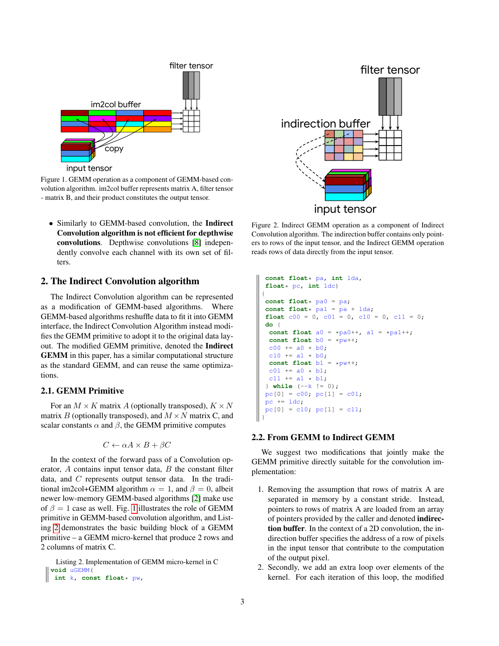

<span id="page-2-0"></span>input tensor

Figure 1. GEMM operation as a component of GEMM-based convolution algorithm. im2col buffer represents matrix A, filter tensor - matrix B, and their product constitutes the output tensor.

• Similarly to GEMM-based convolution, the Indirect Convolution algorithm is not efficient for depthwise convolutions. Depthwise convolutions [\[8\]](#page-8-19) independently convolve each channel with its own set of filters.

## 2. The Indirect Convolution algorithm

The Indirect Convolution algorithm can be represented as a modification of GEMM-based algorithms. Where GEMM-based algorithms reshuffle data to fit it into GEMM interface, the Indirect Convolution Algorithm instead modifies the GEMM primitive to adopt it to the original data layout. The modified GEMM primitive, denoted the Indirect GEMM in this paper, has a similar computational structure as the standard GEMM, and can reuse the same optimizations.

### 2.1. GEMM Primitive

For an  $M \times K$  matrix A (optionally transposed),  $K \times N$ matrix B (optionally transposed), and  $M \times N$  matrix C, and scalar constants  $\alpha$  and  $\beta$ , the GEMM primitive computes

$$
C \leftarrow \alpha A \times B + \beta C
$$

In the context of the forward pass of a Convolution operator,  $A$  contains input tensor data,  $B$  the constant filter data, and C represents output tensor data. In the traditional im2col+GEMM algorithm  $\alpha = 1$ , and  $\beta = 0$ , albeit newer low-memory GEMM-based algorithms [\[2\]](#page-8-17) make use of  $\beta = 1$  $\beta = 1$  case as well. Fig. 1 illustrates the role of GEMM primitive in GEMM-based convolution algorithm, and Listing [2](#page-2-1) demonstrates the basic building block of a GEMM primitive – a GEMM micro-kernel that produce 2 rows and 2 columns of matrix C.

<span id="page-2-1"></span>Listing 2. Implementation of GEMM micro-kernel in C **void** uGEMM( **int** k, **const float**\* pw,



<span id="page-2-2"></span>Figure 2. Indirect GEMM operation as a component of Indirect Convolution algorithm. The indirection buffer contains only pointers to rows of the input tensor, and the Indirect GEMM operation reads rows of data directly from the input tensor.

```
const float* pa, int lda,
float* pc, int ldc)
{
const float* pa0 = pa;
const float* pa1 = pa + lda;
float c00 = 0, c01 = 0, c10 = 0, c11 = 0;
do {
 const float a0 = \pi p a0++, a1 = \pi p a1++;
 const float b0 = \star pw++;c00 += a0 \star b0;c10 += a1 * b0;const float b1 = *pw++;
 c01 += a0 * b1;c11 += a1 * b1;} while (--k != 0);
pc[0] = c00; pc[1] = c01;pc += 1dc;
pc[0] = c10; pc[1] = c11;}
```
### 2.2. From GEMM to Indirect GEMM

We suggest two modifications that jointly make the GEMM primitive directly suitable for the convolution implementation:

- 1. Removing the assumption that rows of matrix A are separated in memory by a constant stride. Instead, pointers to rows of matrix A are loaded from an array of pointers provided by the caller and denoted indirection buffer. In the context of a 2D convolution, the indirection buffer specifies the address of a row of pixels in the input tensor that contribute to the computation of the output pixel.
- 2. Secondly, we add an extra loop over elements of the kernel. For each iteration of this loop, the modified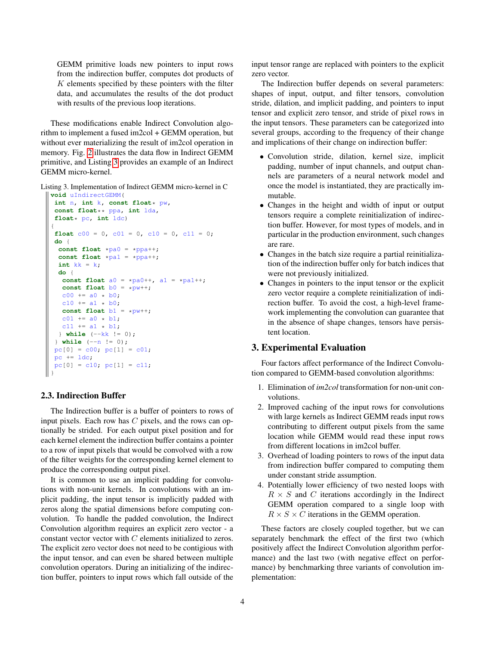GEMM primitive loads new pointers to input rows from the indirection buffer, computes dot products of K elements specified by these pointers with the filter data, and accumulates the results of the dot product with results of the previous loop iterations.

These modifications enable Indirect Convolution algorithm to implement a fused im2col + GEMM operation, but without ever materializing the result of im2col operation in memory. Fig. [2](#page-2-2) illustrates the data flow in Indirect GEMM primitive, and Listing [3](#page-3-0) provides an example of an Indirect GEMM micro-kernel.

<span id="page-3-0"></span>Listing 3. Implementation of Indirect GEMM micro-kernel in C

```
void uIndirectGEMM(
 int n, int k, const float* pw,
 const float** ppa, int lda,
 float* pc, int ldc)
{
 float c00 = 0, c01 = 0, c10 = 0, c11 = 0;
 do {
  const float *pa0 = *ppa++;
  const float *pal = *ppa++;int kk = k;
  do {
   const float a0 = \pi p a + \pi, a1 = \pi p a + \pi;
   const float b0 = *pw++;
   c00 += a0 \times b0;c10 += a1 * b0;
   const float b1 = *pw++;
   c01 += a0 \times b1;
   c11 += a1 * b1;} while (--kk != 0);
 } while (--n != 0);
 pc[0] = c00; pc[1] = c01;pc += 1dc;
 pc[0] = c10; pc[1] = c11;}
```
### 2.3. Indirection Buffer

The Indirection buffer is a buffer of pointers to rows of input pixels. Each row has  $C$  pixels, and the rows can optionally be strided. For each output pixel position and for each kernel element the indirection buffer contains a pointer to a row of input pixels that would be convolved with a row of the filter weights for the corresponding kernel element to produce the corresponding output pixel.

It is common to use an implicit padding for convolutions with non-unit kernels. In convolutions with an implicit padding, the input tensor is implicitly padded with zeros along the spatial dimensions before computing convolution. To handle the padded convolution, the Indirect Convolution algorithm requires an explicit zero vector - a constant vector vector with C elements initialized to zeros. The explicit zero vector does not need to be contigious with the input tensor, and can even be shared between multiple convolution operators. During an initializing of the indirection buffer, pointers to input rows which fall outside of the input tensor range are replaced with pointers to the explicit zero vector.

The Indirection buffer depends on several parameters: shapes of input, output, and filter tensors, convolution stride, dilation, and implicit padding, and pointers to input tensor and explicit zero tensor, and stride of pixel rows in the input tensors. These parameters can be categorized into several groups, according to the frequency of their change and implications of their change on indirection buffer:

- Convolution stride, dilation, kernel size, implicit padding, number of input channels, and output channels are parameters of a neural network model and once the model is instantiated, they are practically immutable.
- Changes in the height and width of input or output tensors require a complete reinitialization of indirection buffer. However, for most types of models, and in particular in the production environment, such changes are rare.
- Changes in the batch size require a partial reinitialization of the indirection buffer only for batch indices that were not previously initialized.
- Changes in pointers to the input tensor or the explicit zero vector require a complete reinitialization of indirection buffer. To avoid the cost, a high-level framework implementing the convolution can guarantee that in the absence of shape changes, tensors have persistent location.

### 3. Experimental Evaluation

Four factors affect performance of the Indirect Convolution compared to GEMM-based convolution algorithms:

- 1. Elimination of *im2col* transformation for non-unit convolutions.
- 2. Improved caching of the input rows for convolutions with large kernels as Indirect GEMM reads input rows contributing to different output pixels from the same location while GEMM would read these input rows from different locations in im2col buffer.
- 3. Overhead of loading pointers to rows of the input data from indirection buffer compared to computing them under constant stride assumption.
- 4. Potentially lower efficiency of two nested loops with  $R \times S$  and C iterations accordingly in the Indirect GEMM operation compared to a single loop with  $R \times S \times C$  iterations in the GEMM operation.

These factors are closely coupled together, but we can separately benchmark the effect of the first two (which positively affect the Indirect Convolution algorithm performance) and the last two (with negative effect on performance) by benchmarking three variants of convolution implementation: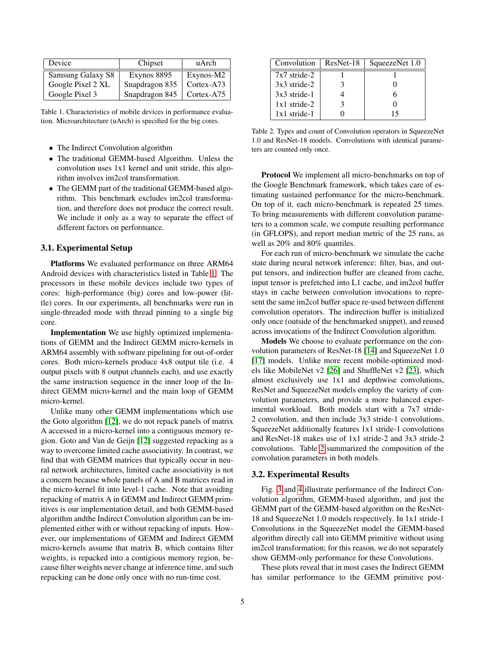| Device            | Chipset        | uArch      |
|-------------------|----------------|------------|
| Samsung Galaxy S8 | Exynos 8895    | Exynos-M2  |
| Google Pixel 2 XL | Snapdragon 835 | Cortex-A73 |
| Google Pixel 3    | Snapdragon 845 | Cortex-A75 |

<span id="page-4-0"></span>Table 1. Characteristics of mobile devices in performance evaluation. Microarchitecture (uArch) is specified for the big cores.

- The Indirect Convolution algorithm
- The traditional GEMM-based Algorithm. Unless the convolution uses 1x1 kernel and unit stride, this algorithm involves im2col transformation.
- The GEMM part of the traditional GEMM-based algorithm. This benchmark excludes im2col transformation, and therefore does not produce the correct result. We include it only as a way to separate the effect of different factors on performance.

#### 3.1. Experimental Setup

Platforms We evaluated performance on three ARM64 Android devices with characteristics listed in Table [1.](#page-4-0) The processors in these mobile devices include two types of cores: high-performance (big) cores and low-power (little) cores. In our experiments, all benchmarks were run in single-threaded mode with thread pinning to a single big core.

Implementation We use highly optimized implementations of GEMM and the Indirect GEMM micro-kernels in ARM64 assembly with software pipelining for out-of-order cores. Both micro-kernels produce 4x8 output tile (i.e. 4 output pixels with 8 output channels each), and use exactly the same instruction sequence in the inner loop of the Indirect GEMM micro-kernel and the main loop of GEMM micro-kernel.

Unlike many other GEMM implementations which use the Goto algorithm [\[12\]](#page-8-12), we do not repack panels of matrix A accessed in a micro-kernel into a contiguous memory region. Goto and Van de Geijn [\[12\]](#page-8-12) suggested repacking as a way to overcome limited cache associativity. In contrast, we find that with GEMM matrices that typically occur in neural network architectures, limited cache associativity is not a concern because whole panels of A and B matrices read in the micro-kernel fit into level-1 cache. Note that avoiding repacking of matrix A in GEMM and Indirect GEMM primitives is our implementation detail, and both GEMM-based algorithm andthe Indirect Convolution algorithm can be implemented either with or without repacking of inputs. However, our implementations of GEMM and Indirect GEMM micro-kernels assume that matrix B, which contains filter weights, is repacked into a contigious memory region, because filter weights never change at inference time, and such repacking can be done only once with no run-time cost.

| Convolution    | ResNet-18 | SqueezeNet 1.0 |
|----------------|-----------|----------------|
| $7x7$ stride-2 |           |                |
| $3x3$ stride-2 |           |                |
| $3x3$ stride-1 |           |                |
| $1x1$ stride-2 |           |                |
| $1x1$ stride-1 |           | 15             |

<span id="page-4-1"></span>Table 2. Types and count of Convolution operators in SqueezeNet 1.0 and ResNet-18 models. Convolutions with identical parameters are counted only once.

Protocol We implement all micro-benchmarks on top of the Google Benchmark framework, which takes care of estimating sustained performance for the micro-benchmark. On top of it, each micro-benchmark is repeated 25 times. To bring measurements with different convolution parameters to a common scale, we compute resulting performance (in GFLOPS), and report median metric of the 25 runs, as well as 20% and 80% quantiles.

For each run of micro-benchmark we simulate the cache state during neural network inference: filter, bias, and output tensors, and indirection buffer are cleaned from cache, input tensor is prefetched into L1 cache, and im2col buffer stays in cache between convolution invocations to represent the same im2col buffer space re-used between different convolution operators. The indirection buffer is initialized only once (outside of the benchmarked snippet), and reused across invocations of the Indirect Convolution algorithm.

Models We choose to evaluate performance on the convolution parameters of ResNet-18 [\[14\]](#page-8-20) and SqueezeNet 1.0 [\[17\]](#page-8-21) models. Unlike more recent mobile-optimized models like MobileNet v2 [\[26\]](#page-9-11) and ShuffleNet v2 [\[23\]](#page-8-7), which almost exclusively use 1x1 and depthwise convolutions, ResNet and SqueezeNet models employ the variety of convolution parameters, and provide a more balanced experimental workload. Both models start with a 7x7 stride-2 convolution, and then include 3x3 stride-1 convolutions. SqueezeNet additionally features 1x1 stride-1 convolutions and ResNet-18 makes use of 1x1 stride-2 and 3x3 stride-2 convolutions. Table [2](#page-4-1) summarized the composition of the convolution parameters in both models.

#### 3.2. Experimental Results

Fig. [3](#page-5-0) and [4](#page-6-0) illustrate performance of the Indirect Convolution algorithm, GEMM-based algorithm, and just the GEMM part of the GEMM-based algorithm on the ResNet-18 and SqueezeNet 1.0 models respectively. In 1x1 stride-1 Convolutions in the SqueezeNet model the GEMM-based algorithm directly call into GEMM primitive without using im2col transformation; for this reason, we do not separately show GEMM-only performance for these Convolutions.

These plots reveal that in most cases the Indirect GEMM has similar performance to the GEMM primitive post-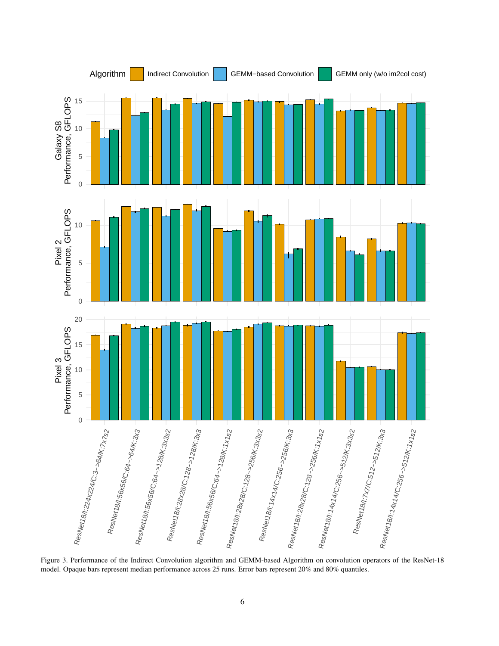

<span id="page-5-0"></span>Figure 3. Performance of the Indirect Convolution algorithm and GEMM-based Algorithm on convolution operators of the ResNet-18 model. Opaque bars represent median performance across 25 runs. Error bars represent 20% and 80% quantiles.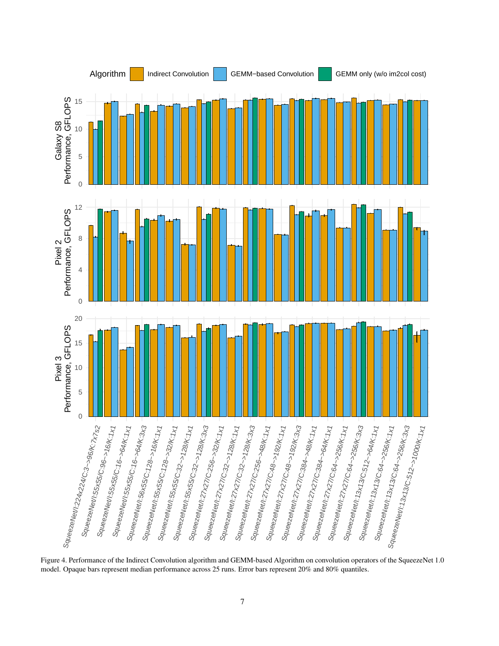

<span id="page-6-0"></span>Figure 4. Performance of the Indirect Convolution algorithm and GEMM-based Algorithm on convolution operators of the SqueezeNet 1.0 model. Opaque bars represent median performance across 25 runs. Error bars represent 20% and 80% quantiles.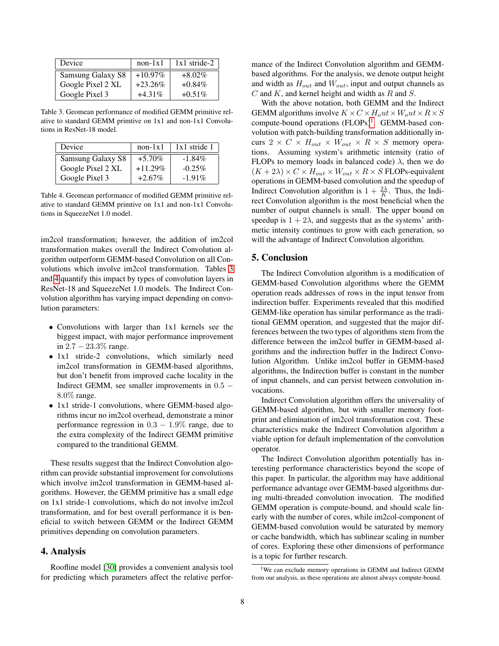| Device            | $non-1x1$  | $1x1$ stride-2 |
|-------------------|------------|----------------|
| Samsung Galaxy S8 | $+10.97\%$ | $+8.02\%$      |
| Google Pixel 2 XL | $+23.26%$  | $+0.84\%$      |
| Google Pixel 3    | $+4.31\%$  | $+0.51\%$      |

<span id="page-7-0"></span>Table 3. Geomean performance of modified GEMM primitive relative to standard GEMM primtive on 1x1 and non-1x1 Convolutions in ResNet-18 model.

| Device            | $non-1x1$  | $1x1$ stride 1 |
|-------------------|------------|----------------|
| Samsung Galaxy S8 | $+5.70\%$  | $-1.84\%$      |
| Google Pixel 2 XL | $+11.29\%$ | $-0.25\%$      |
| Google Pixel 3    | $+2.67\%$  | $-1.91%$       |

<span id="page-7-1"></span>Table 4. Geomean performance of modified GEMM primitive relative to standard GEMM primtive on 1x1 and non-1x1 Convolutions in SqueezeNet 1.0 model.

im2col transformation; however, the addition of im2col transformation makes overall the Indirect Convolution algorithm outperform GEMM-based Convolution on all Convolutions which involve im2col transformation. Tables [3](#page-7-0) and [4](#page-7-1) quantify this impact by types of convolution layers in ResNet-18 and SqueezeNet 1.0 models. The Indirect Convolution algorithm has varying impact depending on convolution parameters:

- Convolutions with larger than 1x1 kernels see the biggest impact, with major performance improvement in 2.7 − 23.3% range.
- 1x1 stride-2 convolutions, which similarly need im2col transformation in GEMM-based algorithms, but don't benefit from improved cache locality in the Indirect GEMM, see smaller improvements in 0.5 − 8.0% range.
- 1x1 stride-1 convolutions, where GEMM-based algorithms incur no im2col overhead, demonstrate a minor performance regression in  $0.3 - 1.9\%$  range, due to the extra complexity of the Indirect GEMM primitive compared to the tranditional GEMM.

These results suggest that the Indirect Convolution algorithm can provide substantial improvement for convolutions which involve im2col transformation in GEMM-based algorithms. However, the GEMM primitive has a small edge on 1x1 stride-1 convolutions, which do not involve im2col transformation, and for best overall performance it is beneficial to switch between GEMM or the Indirect GEMM primitives depending on convolution parameters.

## 4. Analysis

Roofline model [\[30\]](#page-9-12) provides a convenient analysis tool for predicting which parameters affect the relative performance of the Indirect Convolution algorithm and GEMMbased algorithms. For the analysis, we denote output height and width as  $H_{out}$  and  $W_{out}$ , input and output channels as  $C$  and  $K$ , and kernel height and width as  $R$  and  $S$ .

With the above notation, both GEMM and the Indirect GEMM algorithms involve  $K \times C \times H_0ut \times W_0ut \times R \times S$ compute-bound operations (FLOPs)<sup>[1](#page-7-2)</sup>. GEMM-based convolution with patch-building transformation additionally incurs  $2 \times C \times H_{out} \times W_{out} \times R \times S$  memory operations. Assuming system's arithmetic intensity (ratio of FLOPs to memory loads in balanced code)  $\lambda$ , then we do  $(K + 2\lambda) \times C \times H_{out} \times W_{out} \times R \times S$  FLOPs-equivalent operations in GEMM-based convolution and the speedup of Indirect Convolution algorithm is  $1 + \frac{2\lambda}{K}$ . Thus, the Indirect Convolution algorithm is the most beneficial when the number of output channels is small. The upper bound on speedup is  $1 + 2\lambda$ , and suggests that as the systems' arithmetic intensity continues to grow with each generation, so will the advantage of Indirect Convolution algorithm.

#### 5. Conclusion

The Indirect Convolution algorithm is a modification of GEMM-based Convolution algorithms where the GEMM operation reads addresses of rows in the input tensor from indirection buffer. Experiments revealed that this modified GEMM-like operation has similar performance as the traditional GEMM operation, and suggested that the major differences between the two types of algorithms stem from the difference between the im2col buffer in GEMM-based algorithms and the indirection buffer in the Indirect Convolution Algorithm. Unlike im2col buffer in GEMM-based algorithms, the Indirection buffer is constant in the number of input channels, and can persist between convolution invocations.

Indirect Convolution algorithm offers the universality of GEMM-based algorithm, but with smaller memory footprint and elimination of im2col transformation cost. These characteristics make the Indirect Convolution algorithm a viable option for default implementation of the convolution operator.

The Indirect Convolution algorithm potentially has interesting performance characteristics beyond the scope of this paper. In particular, the algorithm may have additional performance advantage over GEMM-based algorithms during multi-threaded convolution invocation. The modified GEMM operation is compute-bound, and should scale linearly with the number of cores, while im2col-component of GEMM-based convolution would be saturated by memory or cache bandwidth, which has sublinear scaling in number of cores. Exploring these other dimensions of performance is a topic for further research.

<span id="page-7-2"></span><sup>&</sup>lt;sup>1</sup>We can exclude memory operations in GEMM and Indirect GEMM from our analysis, as these operations are almost always compute-bound.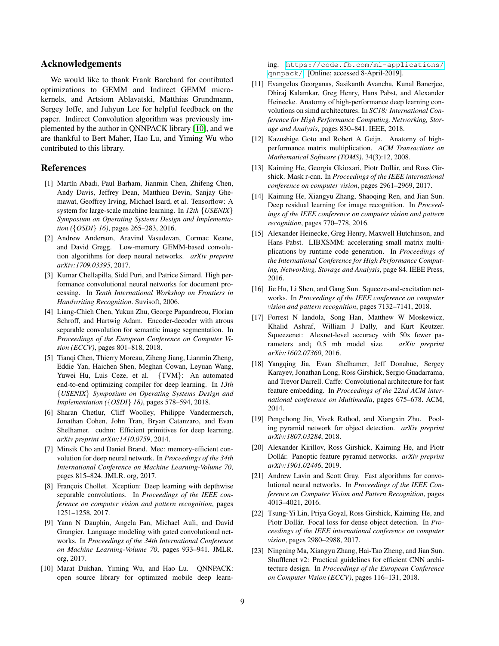### Acknowledgements

We would like to thank Frank Barchard for contibuted optimizations to GEMM and Indirect GEMM microkernels, and Artsiom Ablavatski, Matthias Grundmann, Sergey Ioffe, and Juhyun Lee for helpful feedback on the paper. Indirect Convolution algorithm was previously implemented by the author in QNNPACK library [\[10\]](#page-8-22), and we are thankful to Bert Maher, Hao Lu, and Yiming Wu who contributed to this library.

## References

- <span id="page-8-14"></span>[1] Martín Abadi, Paul Barham, Jianmin Chen, Zhifeng Chen, Andy Davis, Jeffrey Dean, Matthieu Devin, Sanjay Ghemawat, Geoffrey Irving, Michael Isard, et al. Tensorflow: A system for large-scale machine learning. In *12th* {*USENIX*} *Symposium on Operating Systems Design and Implementation (*{*OSDI*} *16)*, pages 265–283, 2016.
- <span id="page-8-17"></span>[2] Andrew Anderson, Aravind Vasudevan, Cormac Keane, and David Gregg. Low-memory GEMM-based convolution algorithms for deep neural networks. *arXiv preprint arXiv:1709.03395*, 2017.
- <span id="page-8-13"></span>[3] Kumar Chellapilla, Sidd Puri, and Patrice Simard. High performance convolutional neural networks for document processing. In *Tenth International Workshop on Frontiers in Handwriting Recognition*. Suvisoft, 2006.
- <span id="page-8-3"></span>[4] Liang-Chieh Chen, Yukun Zhu, George Papandreou, Florian Schroff, and Hartwig Adam. Encoder-decoder with atrous separable convolution for semantic image segmentation. In *Proceedings of the European Conference on Computer Vision (ECCV)*, pages 801–818, 2018.
- <span id="page-8-11"></span>[5] Tianqi Chen, Thierry Moreau, Ziheng Jiang, Lianmin Zheng, Eddie Yan, Haichen Shen, Meghan Cowan, Leyuan Wang, Yuwei Hu, Luis Ceze, et al. {TVM}: An automated end-to-end optimizing compiler for deep learning. In *13th* {*USENIX*} *Symposium on Operating Systems Design and Implementation (*{*OSDI*} *18)*, pages 578–594, 2018.
- <span id="page-8-8"></span>[6] Sharan Chetlur, Cliff Woolley, Philippe Vandermersch, Jonathan Cohen, John Tran, Bryan Catanzaro, and Evan Shelhamer. cudnn: Efficient primitives for deep learning. *arXiv preprint arXiv:1410.0759*, 2014.
- <span id="page-8-16"></span>[7] Minsik Cho and Daniel Brand. Mec: memory-efficient convolution for deep neural network. In *Proceedings of the 34th International Conference on Machine Learning-Volume 70*, pages 815–824. JMLR. org, 2017.
- <span id="page-8-19"></span>[8] François Chollet. Xception: Deep learning with depthwise separable convolutions. In *Proceedings of the IEEE conference on computer vision and pattern recognition*, pages 1251–1258, 2017.
- <span id="page-8-6"></span>[9] Yann N Dauphin, Angela Fan, Michael Auli, and David Grangier. Language modeling with gated convolutional networks. In *Proceedings of the 34th International Conference on Machine Learning-Volume 70*, pages 933–941. JMLR. org, 2017.
- <span id="page-8-22"></span>[10] Marat Dukhan, Yiming Wu, and Hao Lu. ONNPACK: open source library for optimized mobile deep learn-

ing. [https://code.fb.com/ml-applications/](https://code.fb.com/ml-applications/qnnpack/) [qnnpack/](https://code.fb.com/ml-applications/qnnpack/). [Online; accessed 8-April-2019].

- <span id="page-8-9"></span>[11] Evangelos Georganas, Sasikanth Avancha, Kunal Banerjee, Dhiraj Kalamkar, Greg Henry, Hans Pabst, and Alexander Heinecke. Anatomy of high-performance deep learning convolutions on simd architectures. In *SC18: International Conference for High Performance Computing, Networking, Storage and Analysis*, pages 830–841. IEEE, 2018.
- <span id="page-8-12"></span>[12] Kazushige Goto and Robert A Geijn. Anatomy of highperformance matrix multiplication. *ACM Transactions on Mathematical Software (TOMS)*, 34(3):12, 2008.
- <span id="page-8-4"></span>[13] Kaiming He, Georgia Gkioxari, Piotr Dollár, and Ross Girshick. Mask r-cnn. In *Proceedings of the IEEE international conference on computer vision*, pages 2961–2969, 2017.
- <span id="page-8-20"></span>[14] Kaiming He, Xiangyu Zhang, Shaoqing Ren, and Jian Sun. Deep residual learning for image recognition. In *Proceedings of the IEEE conference on computer vision and pattern recognition*, pages 770–778, 2016.
- <span id="page-8-10"></span>[15] Alexander Heinecke, Greg Henry, Maxwell Hutchinson, and Hans Pabst. LIBXSMM: accelerating small matrix multiplications by runtime code generation. In *Proceedings of the International Conference for High Performance Computing, Networking, Storage and Analysis*, page 84. IEEE Press, 2016.
- <span id="page-8-0"></span>[16] Jie Hu, Li Shen, and Gang Sun. Squeeze-and-excitation networks. In *Proceedings of the IEEE conference on computer vision and pattern recognition*, pages 7132–7141, 2018.
- <span id="page-8-21"></span>[17] Forrest N Iandola, Song Han, Matthew W Moskewicz, Khalid Ashraf, William J Dally, and Kurt Keutzer. Squeezenet: Alexnet-level accuracy with 50x fewer parameters and¡ 0.5 mb model size. *arXiv preprint arXiv:1602.07360*, 2016.
- <span id="page-8-15"></span>[18] Yangqing Jia, Evan Shelhamer, Jeff Donahue, Sergey Karayev, Jonathan Long, Ross Girshick, Sergio Guadarrama, and Trevor Darrell. Caffe: Convolutional architecture for fast feature embedding. In *Proceedings of the 22nd ACM international conference on Multimedia*, pages 675–678. ACM, 2014.
- <span id="page-8-2"></span>[19] Pengchong Jin, Vivek Rathod, and Xiangxin Zhu. Pooling pyramid network for object detection. *arXiv preprint arXiv:1807.03284*, 2018.
- <span id="page-8-5"></span>[20] Alexander Kirillov, Ross Girshick, Kaiming He, and Piotr Dollár. Panoptic feature pyramid networks. *arXiv preprint arXiv:1901.02446*, 2019.
- <span id="page-8-18"></span>[21] Andrew Lavin and Scott Gray. Fast algorithms for convolutional neural networks. In *Proceedings of the IEEE Conference on Computer Vision and Pattern Recognition*, pages 4013–4021, 2016.
- <span id="page-8-1"></span>[22] Tsung-Yi Lin, Priya Goyal, Ross Girshick, Kaiming He, and Piotr Dollár. Focal loss for dense object detection. In *Proceedings of the IEEE international conference on computer vision*, pages 2980–2988, 2017.
- <span id="page-8-7"></span>[23] Ningning Ma, Xiangyu Zhang, Hai-Tao Zheng, and Jian Sun. Shufflenet v2: Practical guidelines for efficient CNN architecture design. In *Proceedings of the European Conference on Computer Vision (ECCV)*, pages 116–131, 2018.